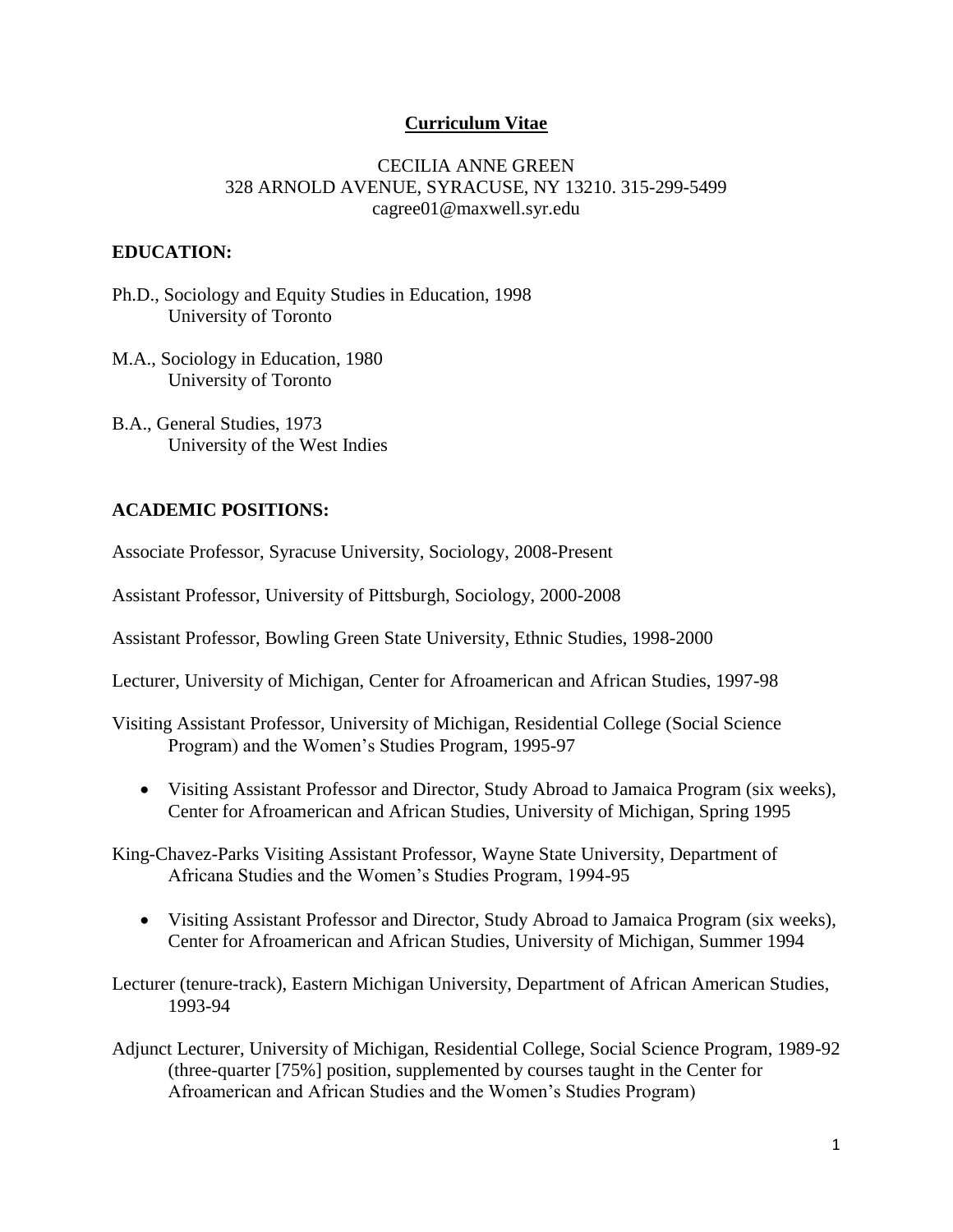### **Curriculum Vitae**

#### CECILIA ANNE GREEN 328 ARNOLD AVENUE, SYRACUSE, NY 13210. 315-299-5499 cagree01@maxwell.syr.edu

#### **EDUCATION:**

Ph.D., Sociology and Equity Studies in Education, 1998 University of Toronto

M.A., Sociology in Education, 1980 University of Toronto

B.A., General Studies, 1973 University of the West Indies

#### **ACADEMIC POSITIONS:**

Associate Professor, Syracuse University, Sociology, 2008-Present

Assistant Professor, University of Pittsburgh, Sociology, 2000-2008

Assistant Professor, Bowling Green State University, Ethnic Studies, 1998-2000

Lecturer, University of Michigan, Center for Afroamerican and African Studies, 1997-98

Visiting Assistant Professor, University of Michigan, Residential College (Social Science Program) and the Women's Studies Program, 1995-97

 Visiting Assistant Professor and Director, Study Abroad to Jamaica Program (six weeks), Center for Afroamerican and African Studies, University of Michigan, Spring 1995

King-Chavez-Parks Visiting Assistant Professor, Wayne State University, Department of Africana Studies and the Women's Studies Program, 1994-95

 Visiting Assistant Professor and Director, Study Abroad to Jamaica Program (six weeks), Center for Afroamerican and African Studies, University of Michigan, Summer 1994

Lecturer (tenure-track), Eastern Michigan University, Department of African American Studies, 1993-94

Adjunct Lecturer, University of Michigan, Residential College, Social Science Program, 1989-92 (three-quarter [75%] position, supplemented by courses taught in the Center for Afroamerican and African Studies and the Women's Studies Program)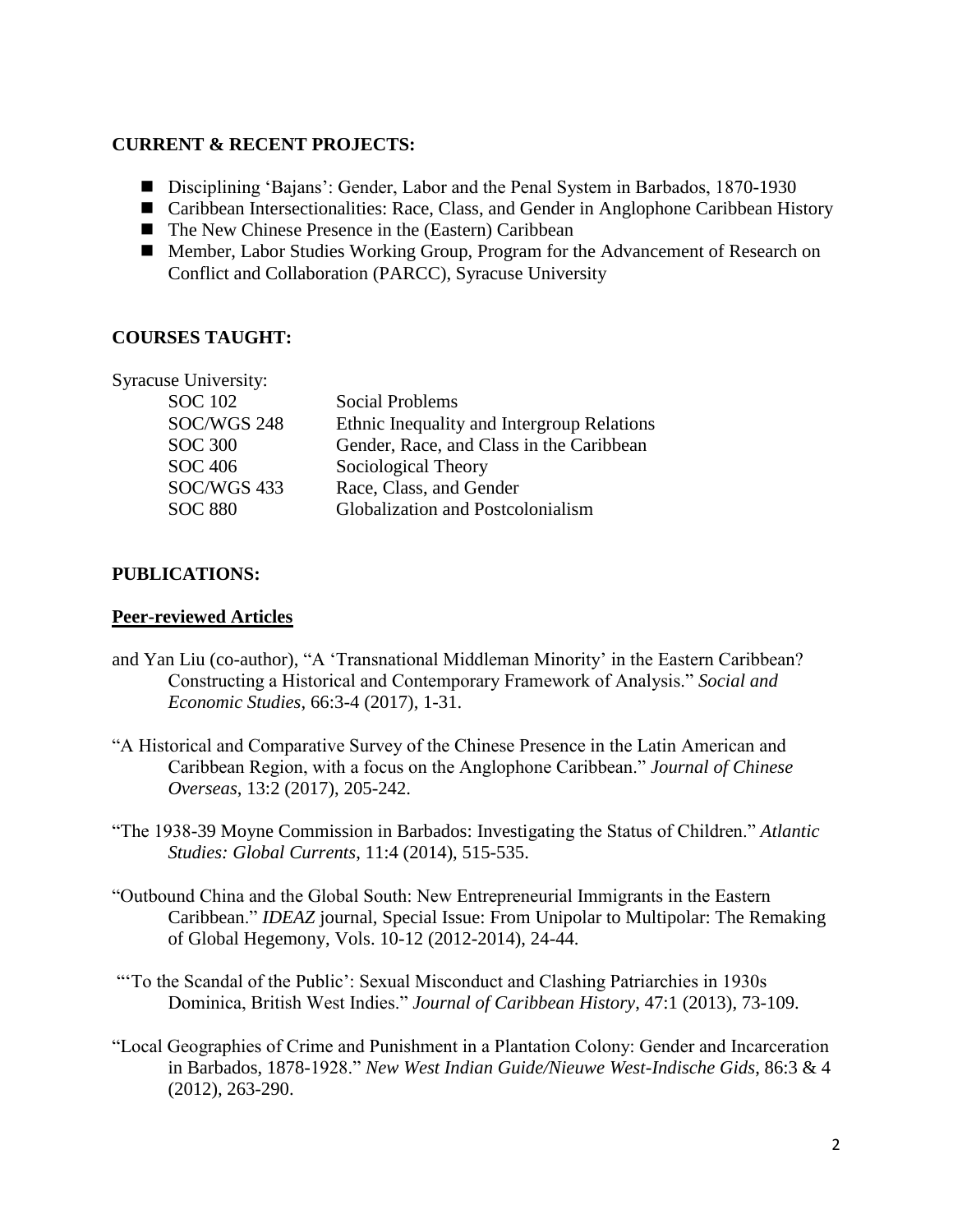### **CURRENT & RECENT PROJECTS:**

- Disciplining 'Bajans': Gender, Labor and the Penal System in Barbados, 1870-1930
- Caribbean Intersectionalities: Race, Class, and Gender in Anglophone Caribbean History
- The New Chinese Presence in the (Eastern) Caribbean
- Member, Labor Studies Working Group, Program for the Advancement of Research on Conflict and Collaboration (PARCC), Syracuse University

# **COURSES TAUGHT:**

| <b>Syracuse University:</b> |                                            |
|-----------------------------|--------------------------------------------|
| <b>SOC</b> 102              | Social Problems                            |
| SOC/WGS 248                 | Ethnic Inequality and Intergroup Relations |
| <b>SOC 300</b>              | Gender, Race, and Class in the Caribbean   |
| SOC 406                     | Sociological Theory                        |
| SOC/WGS 433                 | Race, Class, and Gender                    |
| <b>SOC 880</b>              | Globalization and Postcolonialism          |
|                             |                                            |

# **PUBLICATIONS:**

## **Peer-reviewed Articles**

- and Yan Liu (co-author), "A 'Transnational Middleman Minority' in the Eastern Caribbean? Constructing a Historical and Contemporary Framework of Analysis." *Social and Economic Studies*, 66:3-4 (2017), 1-31.
- "A Historical and Comparative Survey of the Chinese Presence in the Latin American and Caribbean Region, with a focus on the Anglophone Caribbean." *Journal of Chinese Overseas*, 13:2 (2017), 205-242.
- "The 1938-39 Moyne Commission in Barbados: Investigating the Status of Children." *Atlantic Studies: Global Currents*, 11:4 (2014), 515-535.
- "Outbound China and the Global South: New Entrepreneurial Immigrants in the Eastern Caribbean." *IDEAZ* journal, Special Issue: From Unipolar to Multipolar: The Remaking of Global Hegemony, Vols. 10-12 (2012-2014), 24-44.
- "'To the Scandal of the Public': Sexual Misconduct and Clashing Patriarchies in 1930s Dominica, British West Indies." *Journal of Caribbean History*, 47:1 (2013), 73-109.
- "Local Geographies of Crime and Punishment in a Plantation Colony: Gender and Incarceration in Barbados, 1878-1928." *New West Indian Guide/Nieuwe West-Indische Gids*, 86:3 & 4 (2012), 263-290.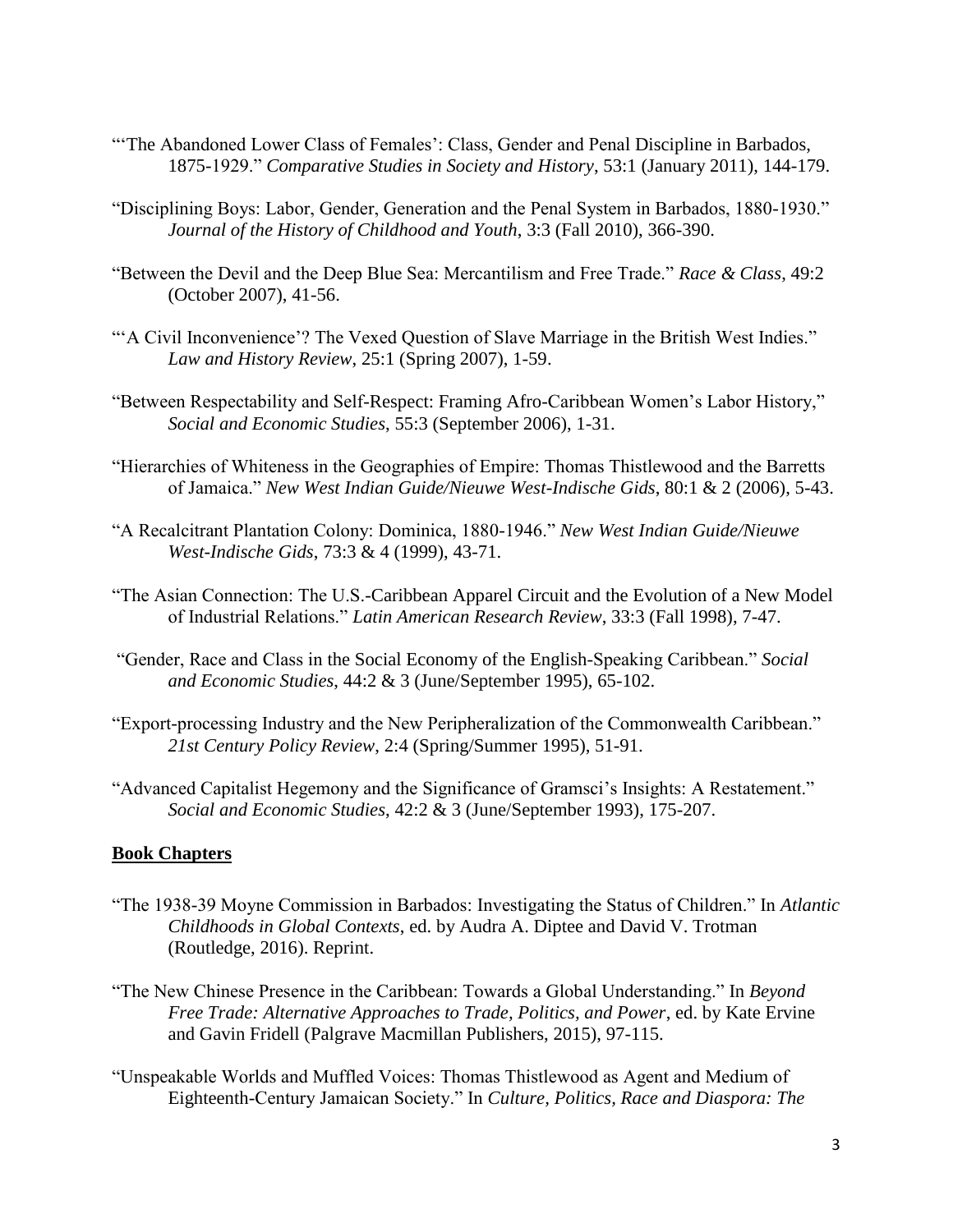- "The Abandoned Lower Class of Females': Class, Gender and Penal Discipline in Barbados, 1875-1929." *Comparative Studies in Society and History*, 53:1 (January 2011), 144-179.
- "Disciplining Boys: Labor, Gender, Generation and the Penal System in Barbados, 1880-1930." *Journal of the History of Childhood and Youth*, 3:3 (Fall 2010), 366-390.
- "Between the Devil and the Deep Blue Sea: Mercantilism and Free Trade." *Race & Class*, 49:2 (October 2007), 41-56.
- ""A Civil Inconvenience"? The Vexed Question of Slave Marriage in the British West Indies." *Law and History Review*, 25:1 (Spring 2007), 1-59.
- "Between Respectability and Self-Respect: Framing Afro-Caribbean Women's Labor History," *Social and Economic Studies*, 55:3 (September 2006), 1-31.
- "Hierarchies of Whiteness in the Geographies of Empire: Thomas Thistlewood and the Barretts of Jamaica." *New West Indian Guide/Nieuwe West-Indische Gids*, 80:1 & 2 (2006), 5-43.
- "A Recalcitrant Plantation Colony: Dominica, 1880-1946." *New West Indian Guide/Nieuwe West-Indische Gids*, 73:3 & 4 (1999), 43-71.
- "The Asian Connection: The U.S.-Caribbean Apparel Circuit and the Evolution of a New Model of Industrial Relations." *Latin American Research Review*, 33:3 (Fall 1998), 7-47.
- "Gender, Race and Class in the Social Economy of the English-Speaking Caribbean." *Social and Economic Studies*, 44:2 & 3 (June/September 1995), 65-102.
- "Export-processing Industry and the New Peripheralization of the Commonwealth Caribbean." *21st Century Policy Review*, 2:4 (Spring/Summer 1995), 51-91.
- "Advanced Capitalist Hegemony and the Significance of Gramsci's Insights: A Restatement." *Social and Economic Studies*, 42:2 & 3 (June/September 1993), 175-207.

#### **Book Chapters**

- "The 1938-39 Moyne Commission in Barbados: Investigating the Status of Children." In *Atlantic Childhoods in Global Contexts*, ed. by Audra A. Diptee and David V. Trotman (Routledge, 2016). Reprint.
- "The New Chinese Presence in the Caribbean: Towards a Global Understanding." In *Beyond Free Trade: Alternative Approaches to Trade, Politics, and Power*, ed. by Kate Ervine and Gavin Fridell (Palgrave Macmillan Publishers, 2015), 97-115.
- "Unspeakable Worlds and Muffled Voices: Thomas Thistlewood as Agent and Medium of Eighteenth-Century Jamaican Society." In *Culture, Politics, Race and Diaspora: The*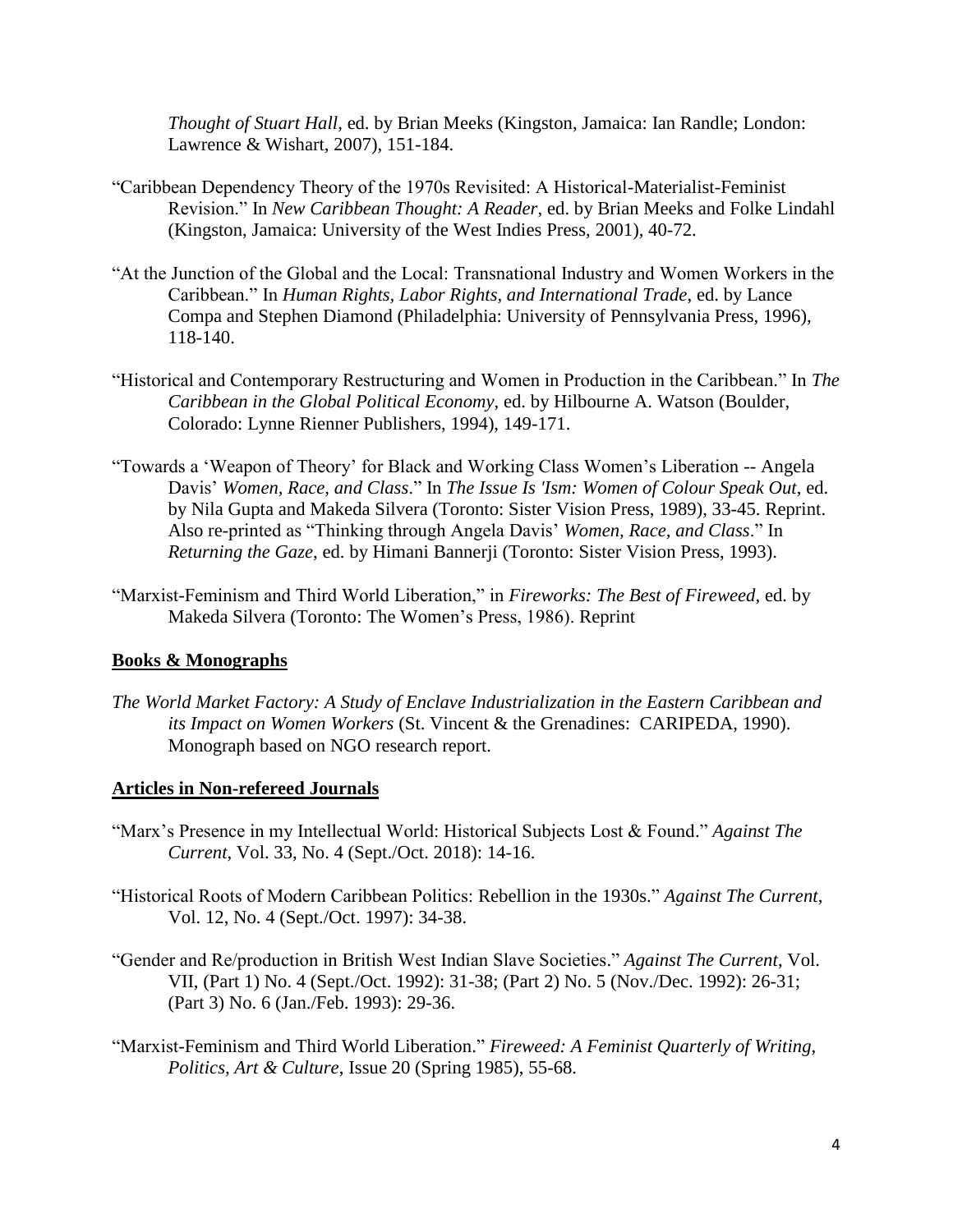*Thought of Stuart Hall*, ed. by Brian Meeks (Kingston, Jamaica: Ian Randle; London: Lawrence & Wishart, 2007), 151-184.

- "Caribbean Dependency Theory of the 1970s Revisited: A Historical-Materialist-Feminist Revision." In *New Caribbean Thought: A Reader*, ed. by Brian Meeks and Folke Lindahl (Kingston, Jamaica: University of the West Indies Press, 2001), 40-72.
- "At the Junction of the Global and the Local: Transnational Industry and Women Workers in the Caribbean." In *Human Rights, Labor Rights, and International Trade*, ed. by Lance Compa and Stephen Diamond (Philadelphia: University of Pennsylvania Press, 1996), 118-140.
- "Historical and Contemporary Restructuring and Women in Production in the Caribbean." In *The Caribbean in the Global Political Economy*, ed. by Hilbourne A. Watson (Boulder, Colorado: Lynne Rienner Publishers, 1994), 149-171.
- "Towards a 'Weapon of Theory' for Black and Working Class Women's Liberation -- Angela Davis' *Women, Race, and Class*." In *The Issue Is 'Ism: Women of Colour Speak Out*, ed. by Nila [Gupta](http://www.amazon.ca/s?_encoding=UTF8&search-alias=books-ca&field-author=Nila%20Gupta) and [Makeda Silvera](http://www.amazon.ca/s?_encoding=UTF8&search-alias=books-ca&field-author=Makeda%20Silvera) (Toronto: Sister Vision Press, 1989), 33-45. Reprint. Also re-printed as "Thinking through Angela Davis' *Women, Race, and Class*." In *Returning the Gaze*, ed. by Himani Bannerji (Toronto: Sister Vision Press, 1993).
- "Marxist-Feminism and Third World Liberation," in *Fireworks: The Best of Fireweed*, ed. by Makeda Silvera (Toronto: The Women's Press, 1986). Reprint

# **Books & Monographs**

*The World Market Factory: A Study of Enclave Industrialization in the Eastern Caribbean and its Impact on Women Workers* (St. Vincent & the Grenadines: CARIPEDA, 1990). Monograph based on NGO research report.

#### **Articles in Non-refereed Journals**

- "Marx's Presence in my Intellectual World: Historical Subjects Lost & Found." *Against The Current*, Vol. 33, No. 4 (Sept./Oct. 2018): 14-16.
- "Historical Roots of Modern Caribbean Politics: Rebellion in the 1930s." *Against The Current*, Vol. 12, No. 4 (Sept./Oct. 1997): 34-38.
- "Gender and Re/production in British West Indian Slave Societies." *Against The Current*, Vol. VII, (Part 1) No. 4 (Sept./Oct. 1992): 31-38; (Part 2) No. 5 (Nov./Dec. 1992): 26-31; (Part 3) No. 6 (Jan./Feb. 1993): 29-36.
- "Marxist-Feminism and Third World Liberation." *Fireweed: A Feminist Quarterly of Writing, Politics, Art & Culture*, Issue 20 (Spring 1985), 55-68.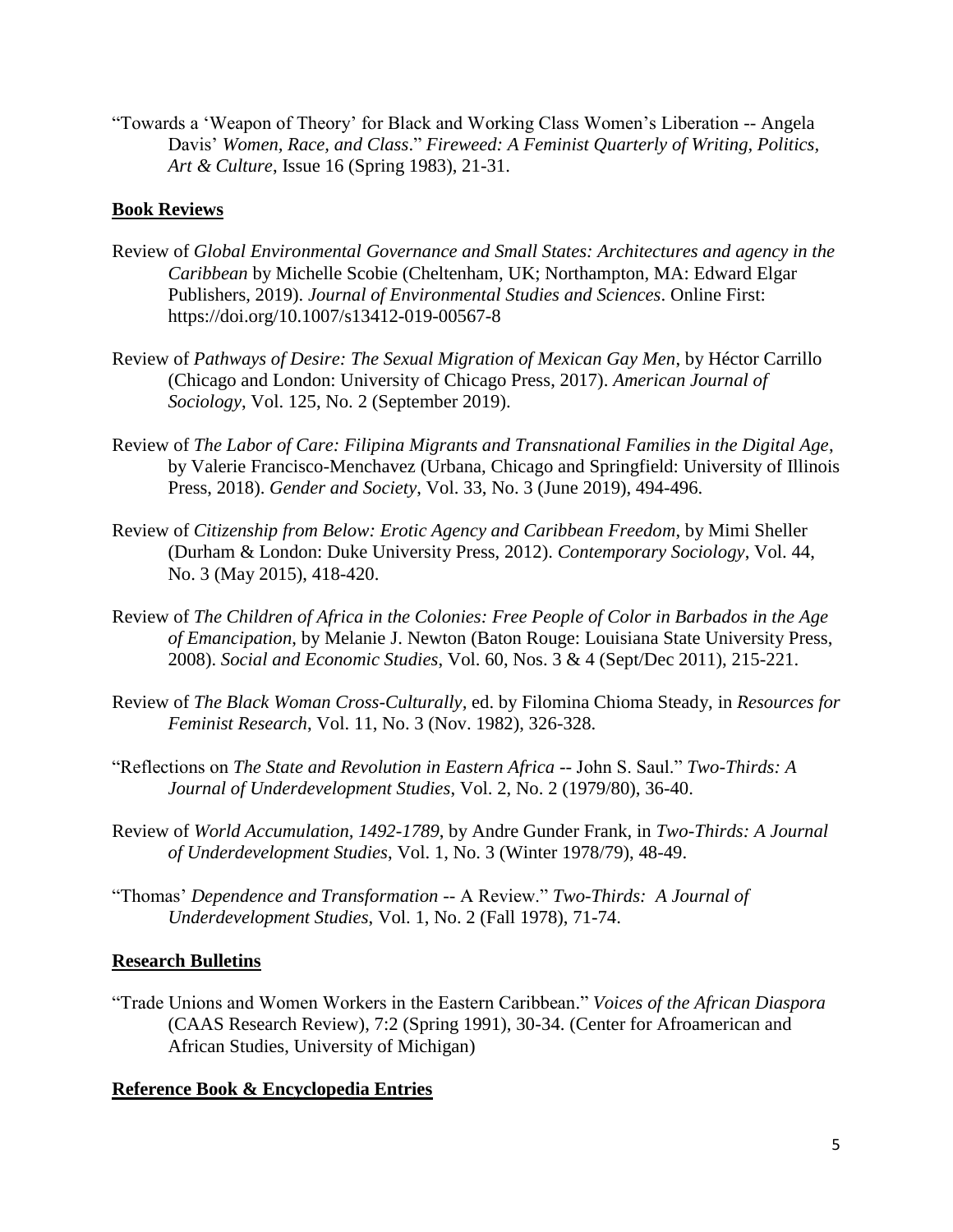"Towards a 'Weapon of Theory' for Black and Working Class Women's Liberation -- Angela Davis' *Women, Race, and Class*." *Fireweed: A Feminist Quarterly of Writing, Politics, Art & Culture*, Issue 16 (Spring 1983), 21-31.

## **Book Reviews**

- Review of *Global Environmental Governance and Small States: Architectures and agency in the Caribbean* by Michelle Scobie (Cheltenham, UK; Northampton, MA: Edward Elgar Publishers, 2019). *Journal of Environmental Studies and Sciences*. Online First: https://doi.org/10.1007/s13412-019-00567-8
- Review of *Pathways of Desire: The Sexual Migration of Mexican Gay Men*, by Héctor Carrillo (Chicago and London: University of Chicago Press, 2017). *American Journal of Sociology*, Vol. 125, No. 2 (September 2019).
- Review of *The Labor of Care: Filipina Migrants and Transnational Families in the Digital Age*, by Valerie Francisco-Menchavez (Urbana, Chicago and Springfield: University of Illinois Press, 2018). *Gender and Society*, Vol. 33, No. 3 (June 2019), 494-496.
- Review of *Citizenship from Below: Erotic Agency and Caribbean Freedom*, by Mimi Sheller (Durham & London: Duke University Press, 2012). *Contemporary Sociology*, Vol. 44, No. 3 (May 2015), 418-420.
- Review of *The Children of Africa in the Colonies: Free People of Color in Barbados in the Age of Emancipation*, by Melanie J. Newton (Baton Rouge: Louisiana State University Press, 2008). *Social and Economic Studies*, Vol. 60, Nos. 3 & 4 (Sept/Dec 2011), 215-221.
- Review of *The Black Woman Cross-Culturally,* ed. by Filomina Chioma Steady, in *Resources for Feminist Research*, Vol. 11, No. 3 (Nov. 1982), 326-328.
- "Reflections on *The State and Revolution in Eastern Africa* -- John S. Saul." *Two-Thirds: A Journal of Underdevelopment Studies*, Vol. 2, No. 2 (1979/80), 36-40.
- Review of *World Accumulation, 1492-1789*, by Andre Gunder Frank, in *Two-Thirds: A Journal of Underdevelopment Studies*, Vol. 1, No. 3 (Winter 1978/79), 48-49.
- "Thomas' *Dependence and Transformation* -- A Review." *Two-Thirds: A Journal of Underdevelopment Studies*, Vol. 1, No. 2 (Fall 1978), 71-74.

#### **Research Bulletins**

"Trade Unions and Women Workers in the Eastern Caribbean." *Voices of the African Diaspora*  (CAAS Research Review), 7:2 (Spring 1991), 30-34. (Center for Afroamerican and African Studies, University of Michigan)

#### **Reference Book & Encyclopedia Entries**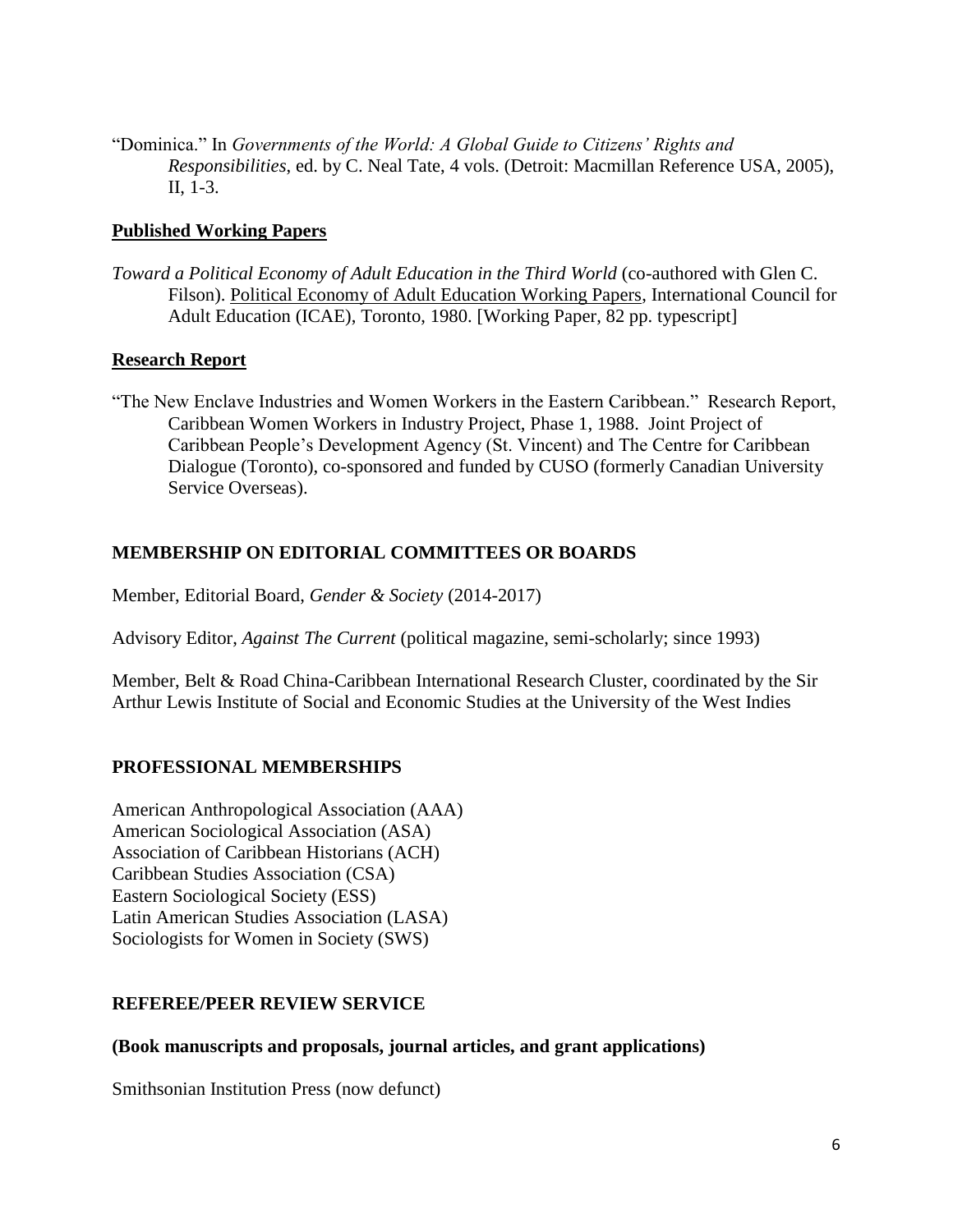"Dominica." In *Governments of the World: A Global Guide to Citizens' Rights and Responsibilities*, ed. by C. Neal Tate, 4 vols. (Detroit: Macmillan Reference USA, 2005), II, 1-3.

## **Published Working Papers**

*Toward a Political Economy of Adult Education in the Third World* (co-authored with Glen C. Filson). Political Economy of Adult Education Working Papers, International Council for Adult Education (ICAE), Toronto, 1980. [Working Paper, 82 pp. typescript]

### **Research Report**

"The New Enclave Industries and Women Workers in the Eastern Caribbean." Research Report, Caribbean Women Workers in Industry Project, Phase 1, 1988. Joint Project of Caribbean People's Development Agency (St. Vincent) and The Centre for Caribbean Dialogue (Toronto), co-sponsored and funded by CUSO (formerly Canadian University Service Overseas).

# **MEMBERSHIP ON EDITORIAL COMMITTEES OR BOARDS**

Member, Editorial Board, *Gender & Society* (2014-2017)

Advisory Editor, *Against The Current* (political magazine, semi-scholarly; since 1993)

Member, Belt & Road China-Caribbean International Research Cluster, coordinated by the Sir Arthur Lewis Institute of Social and Economic Studies at the University of the West Indies

# **PROFESSIONAL MEMBERSHIPS**

American Anthropological Association (AAA) American Sociological Association (ASA) Association of Caribbean Historians (ACH) Caribbean Studies Association (CSA) Eastern Sociological Society (ESS) Latin American Studies Association (LASA) Sociologists for Women in Society (SWS)

#### **REFEREE/PEER REVIEW SERVICE**

#### **(Book manuscripts and proposals, journal articles, and grant applications)**

Smithsonian Institution Press (now defunct)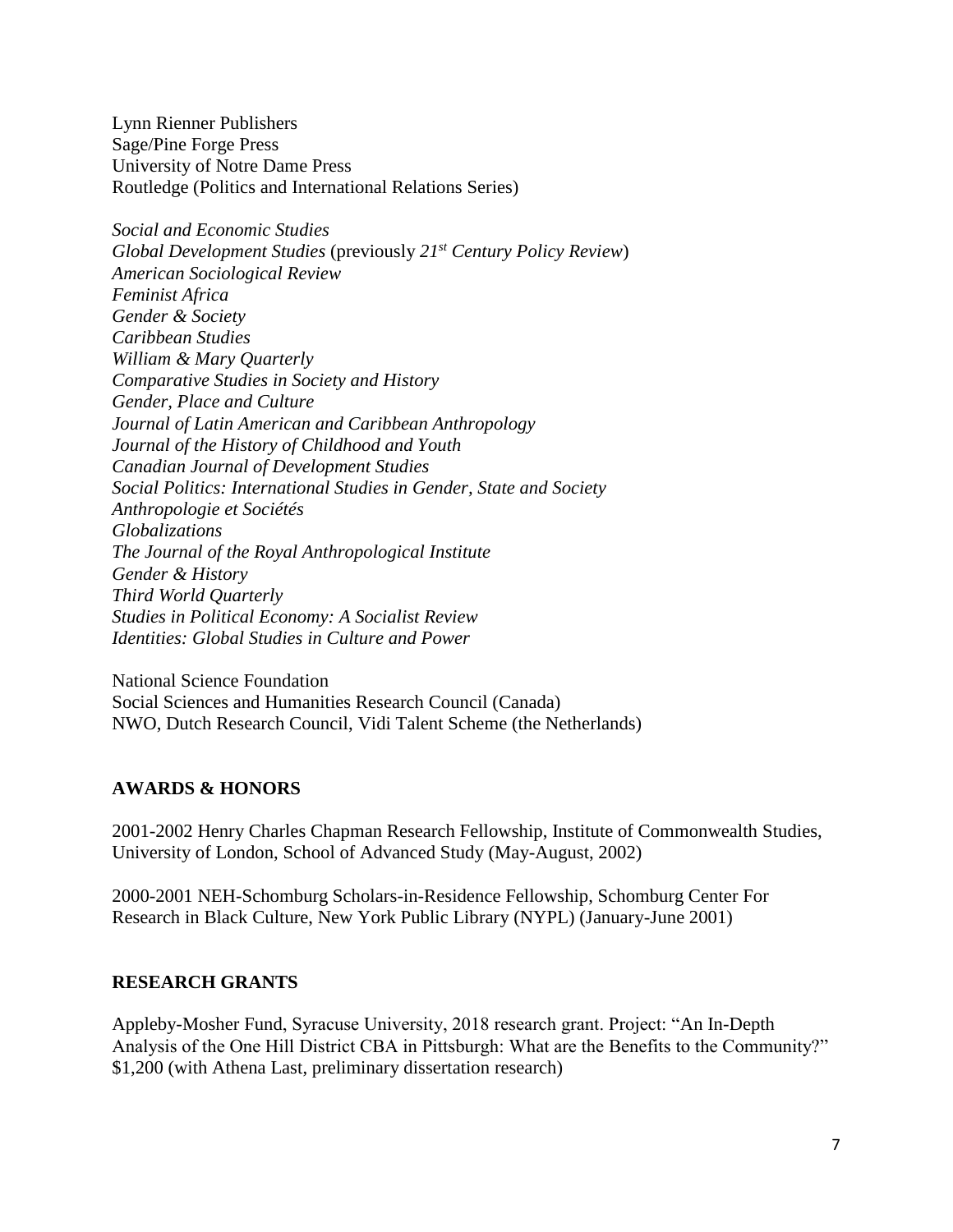Lynn Rienner Publishers Sage/Pine Forge Press University of Notre Dame Press Routledge (Politics and International Relations Series)

*Social and Economic Studies Global Development Studies* (previously *21st Century Policy Review*) *American Sociological Review Feminist Africa Gender & Society Caribbean Studies William & Mary Quarterly Comparative Studies in Society and History Gender, Place and Culture Journal of Latin American and Caribbean Anthropology Journal of the History of Childhood and Youth Canadian Journal of Development Studies Social Politics: International Studies in Gender, State and Society Anthropologie et Sociétés Globalizations The Journal of the Royal Anthropological Institute Gender & History Third World Quarterly Studies in Political Economy: A Socialist Review Identities: Global Studies in Culture and Power*

National Science Foundation Social Sciences and Humanities Research Council (Canada) NWO, Dutch Research Council, Vidi Talent Scheme (the Netherlands)

#### **AWARDS & HONORS**

2001-2002 Henry Charles Chapman Research Fellowship, Institute of Commonwealth Studies, University of London, School of Advanced Study (May-August, 2002)

2000-2001 NEH-Schomburg Scholars-in-Residence Fellowship, Schomburg Center For Research in Black Culture, New York Public Library (NYPL) (January-June 2001)

#### **RESEARCH GRANTS**

Appleby-Mosher Fund, Syracuse University, 2018 research grant. Project: "An In-Depth Analysis of the One Hill District CBA in Pittsburgh: What are the Benefits to the Community?" \$1,200 (with Athena Last, preliminary dissertation research)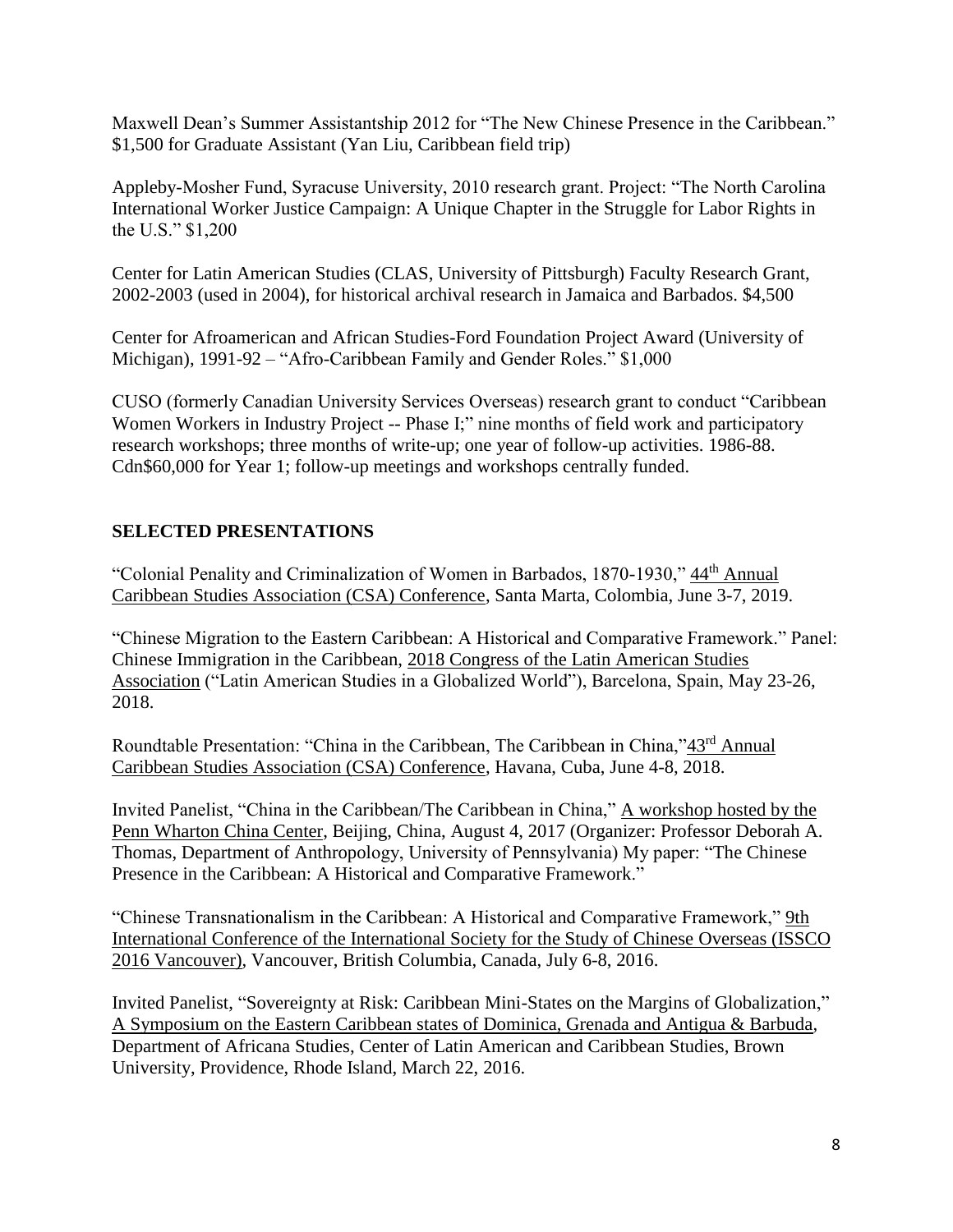Maxwell Dean's Summer Assistantship 2012 for "The New Chinese Presence in the Caribbean." \$1,500 for Graduate Assistant (Yan Liu, Caribbean field trip)

Appleby-Mosher Fund, Syracuse University, 2010 research grant. Project: "The North Carolina International Worker Justice Campaign: A Unique Chapter in the Struggle for Labor Rights in the U.S." \$1,200

Center for Latin American Studies (CLAS, University of Pittsburgh) Faculty Research Grant, 2002-2003 (used in 2004), for historical archival research in Jamaica and Barbados. \$4,500

Center for Afroamerican and African Studies-Ford Foundation Project Award (University of Michigan), 1991-92 – "Afro-Caribbean Family and Gender Roles." \$1,000

CUSO (formerly Canadian University Services Overseas) research grant to conduct "Caribbean Women Workers in Industry Project -- Phase I;" nine months of field work and participatory research workshops; three months of write-up; one year of follow-up activities. 1986-88. Cdn\$60,000 for Year 1; follow-up meetings and workshops centrally funded.

# **SELECTED PRESENTATIONS**

"Colonial Penality and Criminalization of Women in Barbados, 1870-1930," 44<sup>th</sup> Annual Caribbean Studies Association (CSA) Conference, Santa Marta, Colombia, June 3-7, 2019.

"Chinese Migration to the Eastern Caribbean: A Historical and Comparative Framework." Panel: Chinese Immigration in the Caribbean, 2018 Congress of the Latin American Studies Association ("Latin American Studies in a Globalized World"), Barcelona, Spain, May 23-26, 2018.

Roundtable Presentation: "China in the Caribbean, The Caribbean in China,"43rd Annual Caribbean Studies Association (CSA) Conference, Havana, Cuba, June 4-8, 2018.

Invited Panelist, "China in the Caribbean/The Caribbean in China," A workshop hosted by the Penn Wharton China Center, Beijing, China, August 4, 2017 (Organizer: Professor Deborah A. Thomas, Department of Anthropology, University of Pennsylvania) My paper: "The Chinese Presence in the Caribbean: A Historical and Comparative Framework."

"Chinese Transnationalism in the Caribbean: A Historical and Comparative Framework," 9th International Conference of the International Society for the Study of Chinese Overseas (ISSCO 2016 Vancouver), Vancouver, British Columbia, Canada, July 6-8, 2016.

Invited Panelist, "Sovereignty at Risk: Caribbean Mini-States on the Margins of Globalization," A Symposium on the Eastern Caribbean states of Dominica, Grenada and Antigua & Barbuda, Department of Africana Studies, Center of Latin American and Caribbean Studies, Brown University, Providence, Rhode Island, March 22, 2016.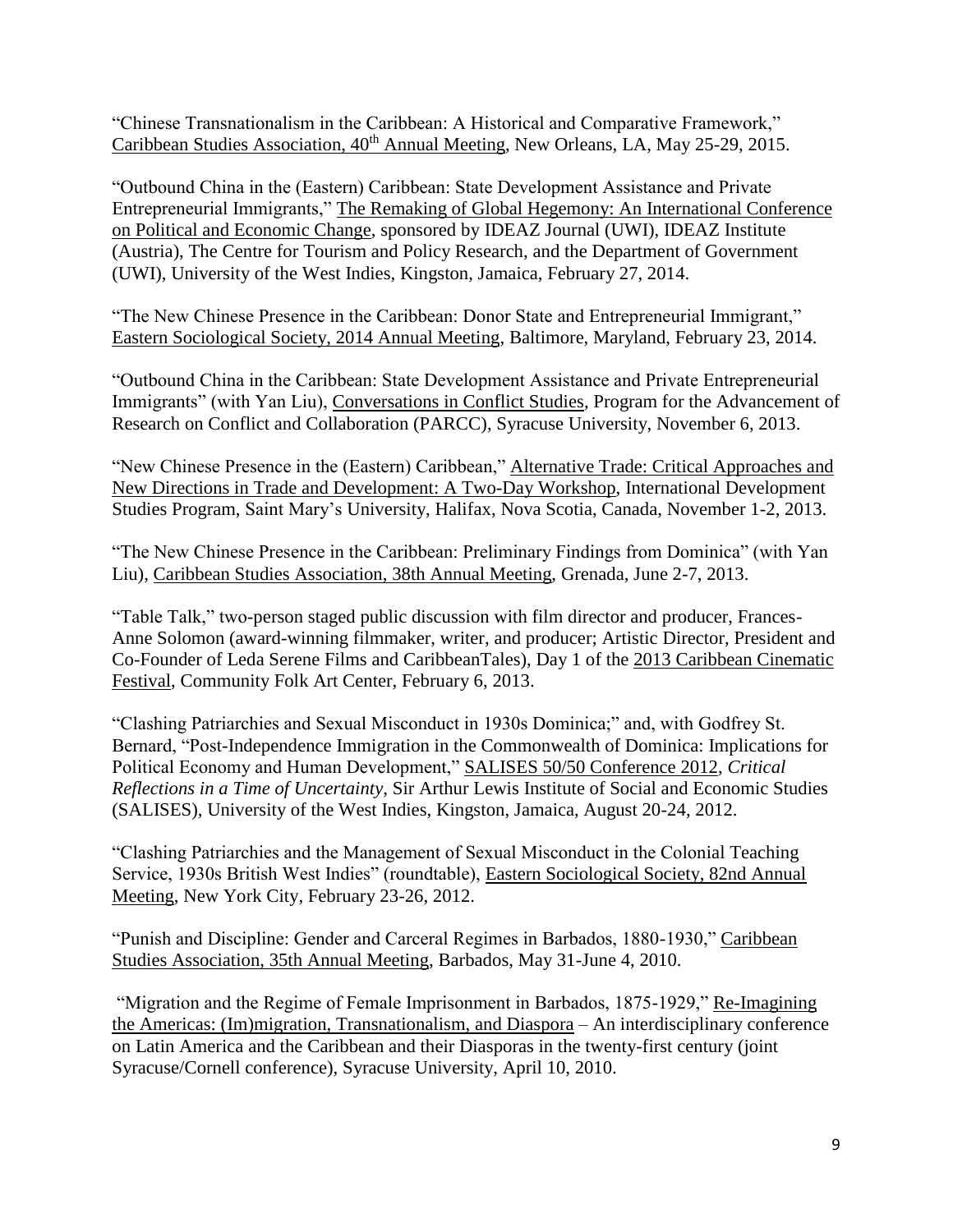"Chinese Transnationalism in the Caribbean: A Historical and Comparative Framework," Caribbean Studies Association, 40<sup>th</sup> Annual Meeting, New Orleans, LA, May 25-29, 2015.

"Outbound China in the (Eastern) Caribbean: State Development Assistance and Private Entrepreneurial Immigrants," The Remaking of Global Hegemony: An International Conference on Political and Economic Change, sponsored by IDEAZ Journal (UWI), IDEAZ Institute (Austria), The Centre for Tourism and Policy Research, and the Department of Government (UWI), University of the West Indies, Kingston, Jamaica, February 27, 2014.

"The New Chinese Presence in the Caribbean: Donor State and Entrepreneurial Immigrant," Eastern Sociological Society, 2014 Annual Meeting, Baltimore, Maryland, February 23, 2014.

"Outbound China in the Caribbean: State Development Assistance and Private Entrepreneurial Immigrants" (with Yan Liu), Conversations in Conflict Studies, Program for the Advancement of Research on Conflict and Collaboration (PARCC), Syracuse University, November 6, 2013.

"New Chinese Presence in the (Eastern) Caribbean," Alternative Trade: Critical Approaches and New Directions in Trade and Development: A Two-Day Workshop, International Development Studies Program, Saint Mary's University, Halifax, Nova Scotia, Canada, November 1-2, 2013.

"The New Chinese Presence in the Caribbean: Preliminary Findings from Dominica" (with Yan Liu), Caribbean Studies Association, 38th Annual Meeting, Grenada, June 2-7, 2013.

"Table Talk," two-person staged public discussion with film director and producer, Frances-Anne Solomon (award-winning filmmaker, writer, and producer; Artistic Director, President and Co-Founder of Leda Serene Films and CaribbeanTales), Day 1 of the 2013 Caribbean Cinematic Festival, Community Folk Art Center, February 6, 2013.

"Clashing Patriarchies and Sexual Misconduct in 1930s Dominica;" and, with Godfrey St. Bernard, "Post-Independence Immigration in the Commonwealth of Dominica: Implications for Political Economy and Human Development," SALISES 50/50 Conference 2012, *Critical Reflections in a Time of Uncertainty*, Sir Arthur Lewis Institute of Social and Economic Studies (SALISES), University of the West Indies, Kingston, Jamaica, August 20-24, 2012.

"Clashing Patriarchies and the Management of Sexual Misconduct in the Colonial Teaching Service, 1930s British West Indies" (roundtable), Eastern Sociological Society, 82nd Annual Meeting, New York City, February 23-26, 2012.

"Punish and Discipline: Gender and Carceral Regimes in Barbados, 1880-1930," Caribbean Studies Association, 35th Annual Meeting, Barbados, May 31-June 4, 2010.

"Migration and the Regime of Female Imprisonment in Barbados, 1875-1929," Re-Imagining the Americas: (Im)migration, Transnationalism, and Diaspora – An interdisciplinary conference on Latin America and the Caribbean and their Diasporas in the twenty-first century (joint Syracuse/Cornell conference), Syracuse University, April 10, 2010.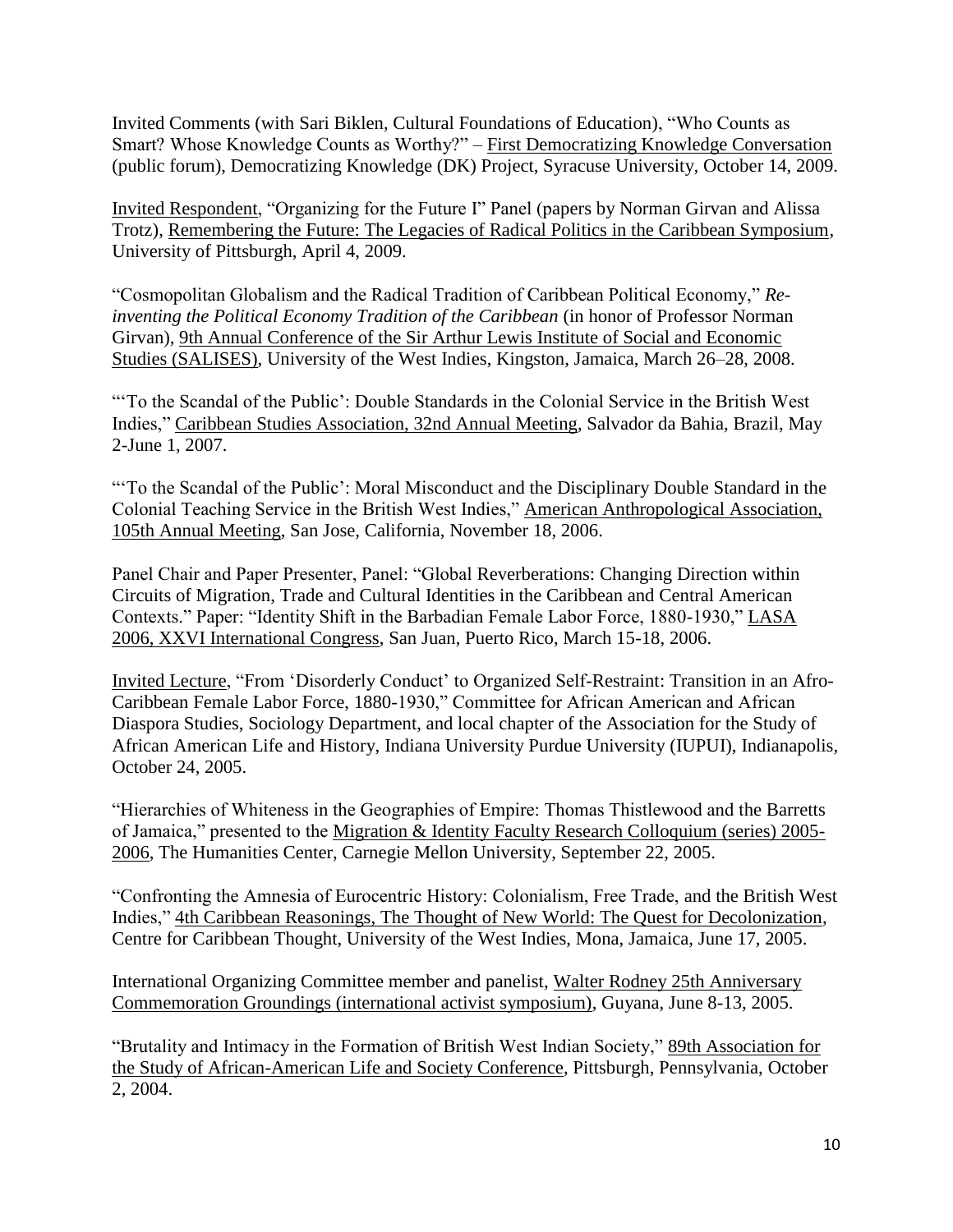Invited Comments (with Sari Biklen, Cultural Foundations of Education), "Who Counts as Smart? Whose Knowledge Counts as Worthy?" – First Democratizing Knowledge Conversation (public forum), Democratizing Knowledge (DK) Project, Syracuse University, October 14, 2009.

Invited Respondent, "Organizing for the Future I" Panel (papers by Norman Girvan and Alissa Trotz), Remembering the Future: The Legacies of Radical Politics in the Caribbean Symposium, University of Pittsburgh, April 4, 2009.

"Cosmopolitan Globalism and the Radical Tradition of Caribbean Political Economy," *Reinventing the Political Economy Tradition of the Caribbean* (in honor of Professor Norman Girvan), 9th Annual Conference of the Sir Arthur Lewis Institute of Social and Economic Studies (SALISES), University of the West Indies, Kingston, Jamaica, March 26–28, 2008.

"'To the Scandal of the Public': Double Standards in the Colonial Service in the British West Indies," Caribbean Studies Association, 32nd Annual Meeting, Salvador da Bahia, Brazil, May 2-June 1, 2007.

"'To the Scandal of the Public': Moral Misconduct and the Disciplinary Double Standard in the Colonial Teaching Service in the British West Indies," American Anthropological Association, 105th Annual Meeting, San Jose, California, November 18, 2006.

Panel Chair and Paper Presenter, Panel: "Global Reverberations: Changing Direction within Circuits of Migration, Trade and Cultural Identities in the Caribbean and Central American Contexts." Paper: "Identity Shift in the Barbadian Female Labor Force, 1880-1930," LASA 2006, XXVI International Congress, San Juan, Puerto Rico, March 15-18, 2006.

Invited Lecture, "From 'Disorderly Conduct' to Organized Self-Restraint: Transition in an Afro-Caribbean Female Labor Force, 1880-1930," Committee for African American and African Diaspora Studies, Sociology Department, and local chapter of the Association for the Study of African American Life and History, Indiana University Purdue University (IUPUI), Indianapolis, October 24, 2005.

"Hierarchies of Whiteness in the Geographies of Empire: Thomas Thistlewood and the Barretts of Jamaica," presented to the Migration & Identity Faculty Research Colloquium (series) 2005- 2006, The Humanities Center, Carnegie Mellon University, September 22, 2005.

"Confronting the Amnesia of Eurocentric History: Colonialism, Free Trade, and the British West Indies," 4th Caribbean Reasonings, The Thought of New World: The Quest for Decolonization, Centre for Caribbean Thought, University of the West Indies, Mona, Jamaica, June 17, 2005.

International Organizing Committee member and panelist, Walter Rodney 25th Anniversary Commemoration Groundings (international activist symposium), Guyana, June 8-13, 2005.

"Brutality and Intimacy in the Formation of British West Indian Society," 89th Association for the Study of African-American Life and Society Conference, Pittsburgh, Pennsylvania, October 2, 2004.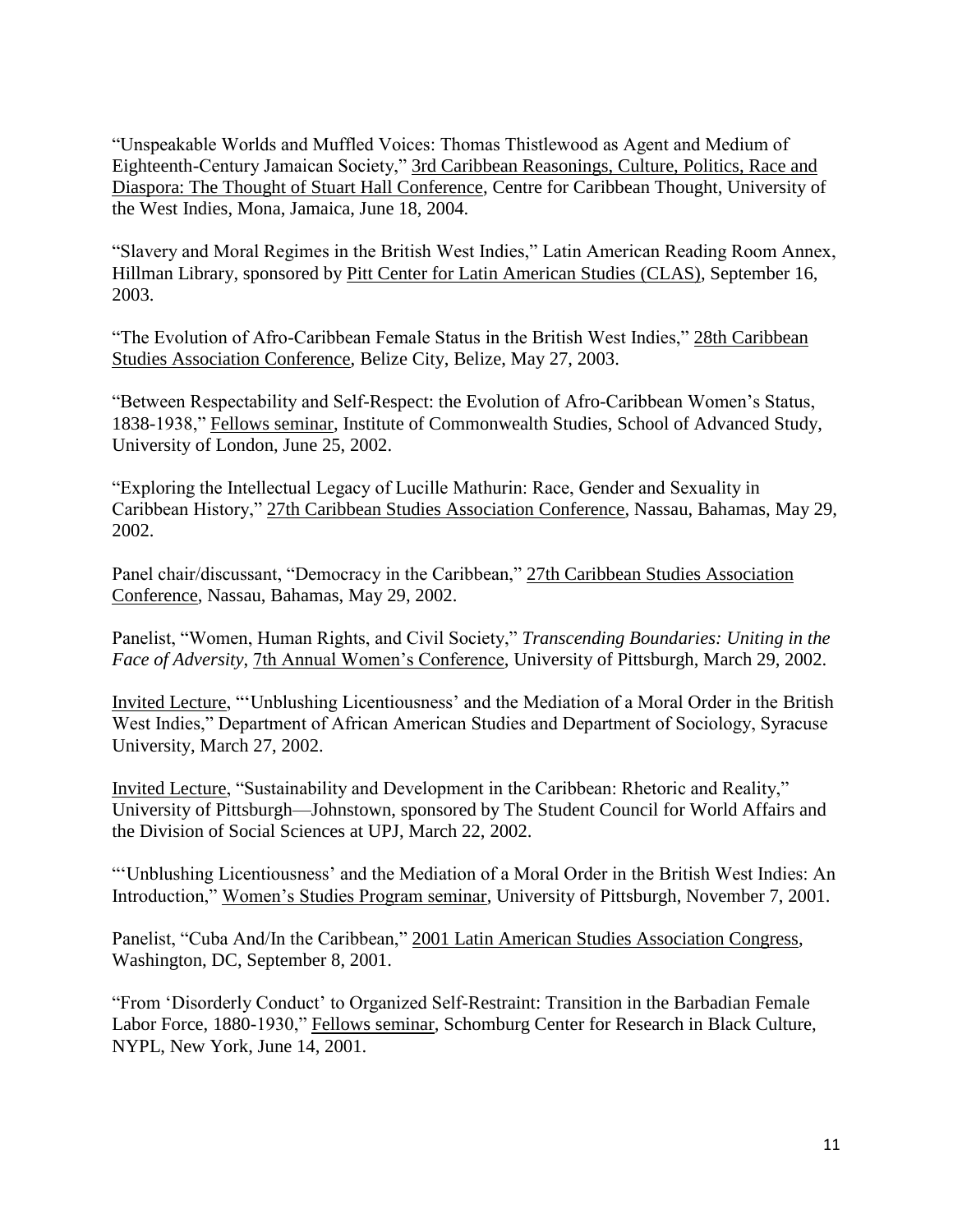"Unspeakable Worlds and Muffled Voices: Thomas Thistlewood as Agent and Medium of Eighteenth-Century Jamaican Society," 3rd Caribbean Reasonings, Culture, Politics, Race and Diaspora: The Thought of Stuart Hall Conference, Centre for Caribbean Thought, University of the West Indies, Mona, Jamaica, June 18, 2004.

"Slavery and Moral Regimes in the British West Indies," Latin American Reading Room Annex, Hillman Library, sponsored by Pitt Center for Latin American Studies (CLAS), September 16, 2003.

"The Evolution of Afro-Caribbean Female Status in the British West Indies," 28th Caribbean Studies Association Conference, Belize City, Belize, May 27, 2003.

"Between Respectability and Self-Respect: the Evolution of Afro-Caribbean Women's Status, 1838-1938," Fellows seminar, Institute of Commonwealth Studies, School of Advanced Study, University of London, June 25, 2002.

"Exploring the Intellectual Legacy of Lucille Mathurin: Race, Gender and Sexuality in Caribbean History," 27th Caribbean Studies Association Conference, Nassau, Bahamas, May 29, 2002.

Panel chair/discussant, "Democracy in the Caribbean," 27th Caribbean Studies Association Conference, Nassau, Bahamas, May 29, 2002.

Panelist, "Women, Human Rights, and Civil Society," *Transcending Boundaries: Uniting in the Face of Adversity*, 7th Annual Women's Conference, University of Pittsburgh, March 29, 2002.

Invited Lecture, "'Unblushing Licentiousness' and the Mediation of a Moral Order in the British West Indies," Department of African American Studies and Department of Sociology, Syracuse University, March 27, 2002.

Invited Lecture, "Sustainability and Development in the Caribbean: Rhetoric and Reality," University of Pittsburgh—Johnstown, sponsored by The Student Council for World Affairs and the Division of Social Sciences at UPJ, March 22, 2002.

"'Unblushing Licentiousness' and the Mediation of a Moral Order in the British West Indies: An Introduction," Women's Studies Program seminar, University of Pittsburgh, November 7, 2001.

Panelist, "Cuba And/In the Caribbean," 2001 Latin American Studies Association Congress, Washington, DC, September 8, 2001.

"From 'Disorderly Conduct' to Organized Self-Restraint: Transition in the Barbadian Female Labor Force, 1880-1930," Fellows seminar, Schomburg Center for Research in Black Culture, NYPL, New York, June 14, 2001.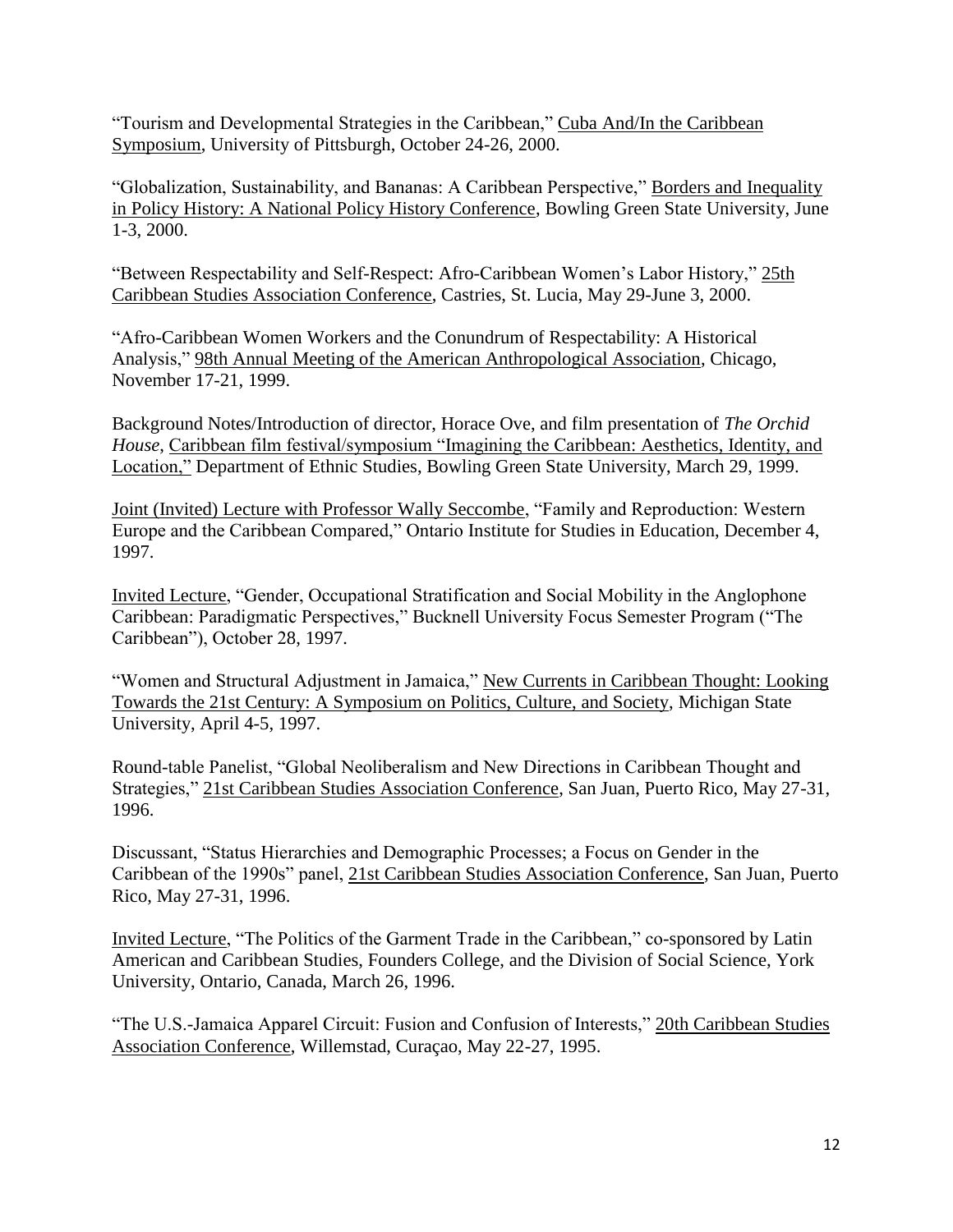"Tourism and Developmental Strategies in the Caribbean," Cuba And/In the Caribbean Symposium, University of Pittsburgh, October 24-26, 2000.

"Globalization, Sustainability, and Bananas: A Caribbean Perspective," Borders and Inequality in Policy History: A National Policy History Conference, Bowling Green State University, June 1-3, 2000.

"Between Respectability and Self-Respect: Afro-Caribbean Women's Labor History," 25th Caribbean Studies Association Conference, Castries, St. Lucia, May 29-June 3, 2000.

"Afro-Caribbean Women Workers and the Conundrum of Respectability: A Historical Analysis," 98th Annual Meeting of the American Anthropological Association, Chicago, November 17-21, 1999.

Background Notes/Introduction of director, Horace Ove, and film presentation of *The Orchid House*, Caribbean film festival/symposium "Imagining the Caribbean: Aesthetics, Identity, and Location," Department of Ethnic Studies, Bowling Green State University, March 29, 1999.

Joint (Invited) Lecture with Professor Wally Seccombe, "Family and Reproduction: Western Europe and the Caribbean Compared," Ontario Institute for Studies in Education, December 4, 1997.

Invited Lecture, "Gender, Occupational Stratification and Social Mobility in the Anglophone Caribbean: Paradigmatic Perspectives," Bucknell University Focus Semester Program ("The Caribbean"), October 28, 1997.

"Women and Structural Adjustment in Jamaica," New Currents in Caribbean Thought: Looking Towards the 21st Century: A Symposium on Politics, Culture, and Society, Michigan State University, April 4-5, 1997.

Round-table Panelist, "Global Neoliberalism and New Directions in Caribbean Thought and Strategies," 21st Caribbean Studies Association Conference, San Juan, Puerto Rico, May 27-31, 1996.

Discussant, "Status Hierarchies and Demographic Processes; a Focus on Gender in the Caribbean of the 1990s" panel, 21st Caribbean Studies Association Conference, San Juan, Puerto Rico, May 27-31, 1996.

Invited Lecture, "The Politics of the Garment Trade in the Caribbean," co-sponsored by Latin American and Caribbean Studies, Founders College, and the Division of Social Science, York University, Ontario, Canada, March 26, 1996.

"The U.S.-Jamaica Apparel Circuit: Fusion and Confusion of Interests," 20th Caribbean Studies Association Conference, Willemstad, Curaçao, May 22-27, 1995.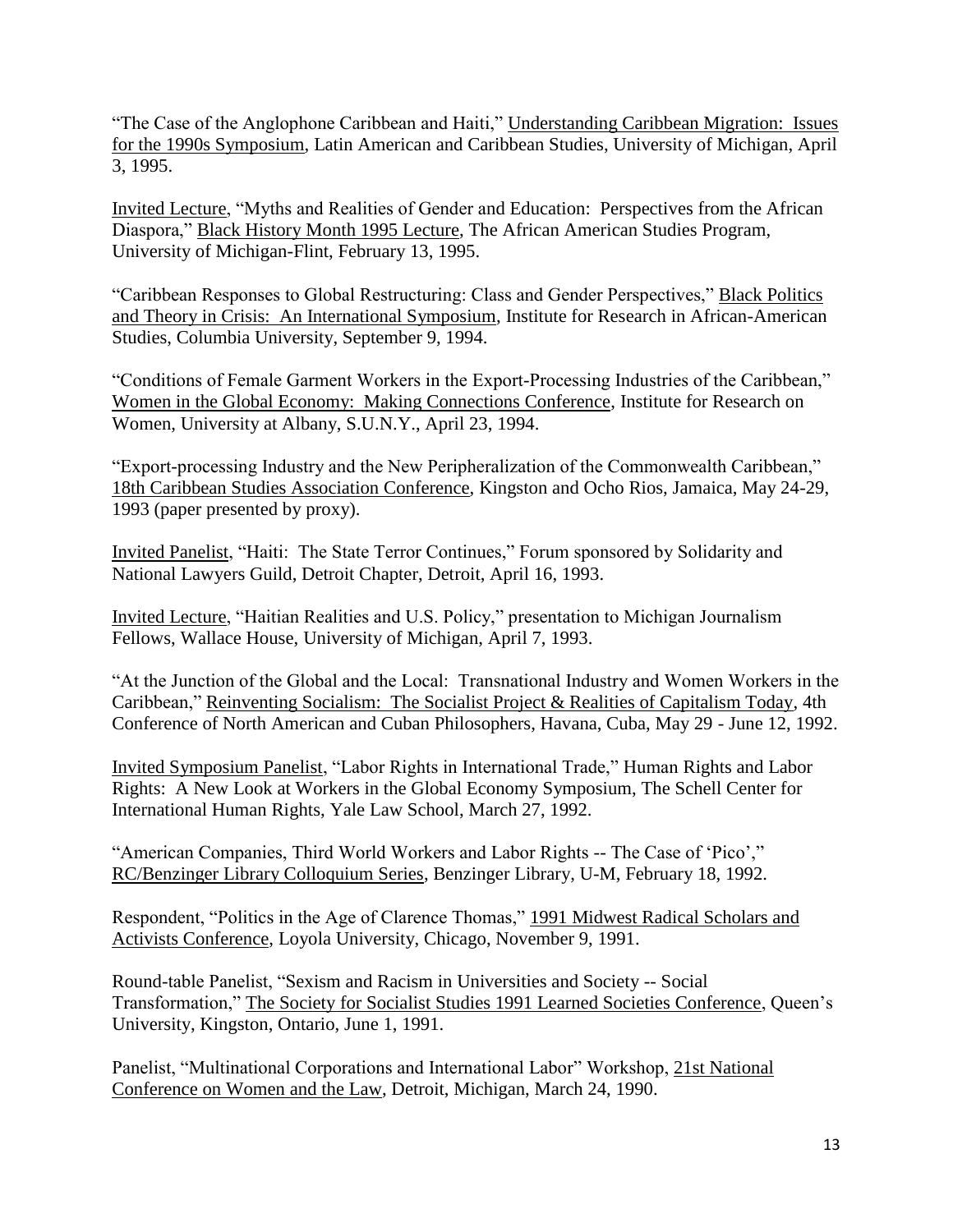"The Case of the Anglophone Caribbean and Haiti," Understanding Caribbean Migration: Issues for the 1990s Symposium, Latin American and Caribbean Studies, University of Michigan, April 3, 1995.

Invited Lecture, "Myths and Realities of Gender and Education: Perspectives from the African Diaspora," Black History Month 1995 Lecture, The African American Studies Program, University of Michigan-Flint, February 13, 1995.

"Caribbean Responses to Global Restructuring: Class and Gender Perspectives," Black Politics and Theory in Crisis: An International Symposium, Institute for Research in African-American Studies, Columbia University, September 9, 1994.

"Conditions of Female Garment Workers in the Export-Processing Industries of the Caribbean," Women in the Global Economy: Making Connections Conference, Institute for Research on Women, University at Albany, S.U.N.Y., April 23, 1994.

"Export-processing Industry and the New Peripheralization of the Commonwealth Caribbean," 18th Caribbean Studies Association Conference, Kingston and Ocho Rios, Jamaica, May 24-29, 1993 (paper presented by proxy).

Invited Panelist, "Haiti: The State Terror Continues," Forum sponsored by Solidarity and National Lawyers Guild, Detroit Chapter, Detroit, April 16, 1993.

Invited Lecture, "Haitian Realities and U.S. Policy," presentation to Michigan Journalism Fellows, Wallace House, University of Michigan, April 7, 1993.

"At the Junction of the Global and the Local: Transnational Industry and Women Workers in the Caribbean," Reinventing Socialism: The Socialist Project & Realities of Capitalism Today, 4th Conference of North American and Cuban Philosophers, Havana, Cuba, May 29 - June 12, 1992.

Invited Symposium Panelist, "Labor Rights in International Trade," Human Rights and Labor Rights: A New Look at Workers in the Global Economy Symposium, The Schell Center for International Human Rights, Yale Law School, March 27, 1992.

"American Companies, Third World Workers and Labor Rights -- The Case of 'Pico'," RC/Benzinger Library Colloquium Series, Benzinger Library, U-M, February 18, 1992.

Respondent, "Politics in the Age of Clarence Thomas," 1991 Midwest Radical Scholars and Activists Conference, Loyola University, Chicago, November 9, 1991.

Round-table Panelist, "Sexism and Racism in Universities and Society -- Social Transformation," The Society for Socialist Studies 1991 Learned Societies Conference, Queen's University, Kingston, Ontario, June 1, 1991.

Panelist, "Multinational Corporations and International Labor" Workshop, 21st National Conference on Women and the Law, Detroit, Michigan, March 24, 1990.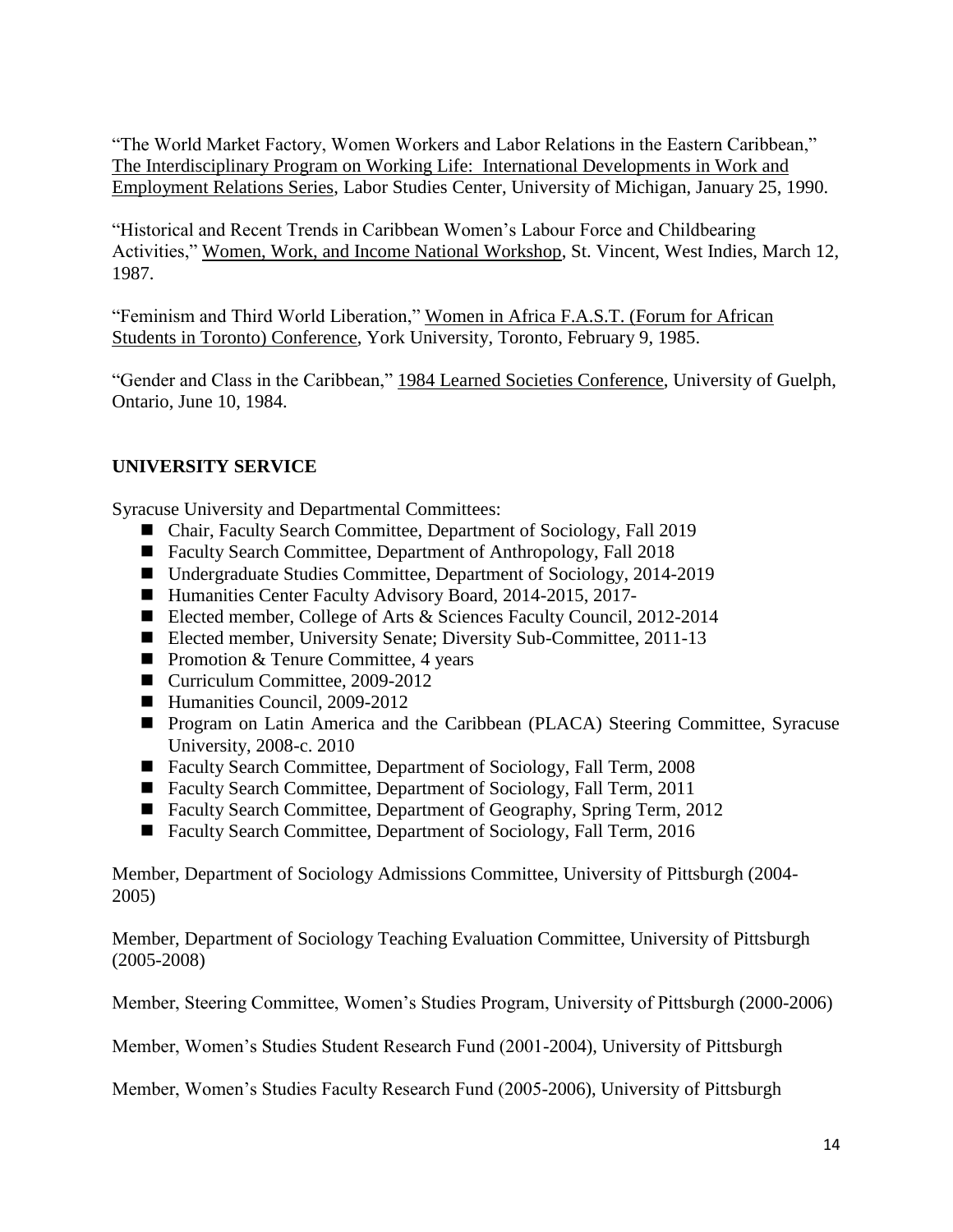"The World Market Factory, Women Workers and Labor Relations in the Eastern Caribbean," The Interdisciplinary Program on Working Life: International Developments in Work and Employment Relations Series, Labor Studies Center, University of Michigan, January 25, 1990.

"Historical and Recent Trends in Caribbean Women's Labour Force and Childbearing Activities," Women, Work, and Income National Workshop, St. Vincent, West Indies, March 12, 1987.

"Feminism and Third World Liberation," Women in Africa F.A.S.T. (Forum for African Students in Toronto) Conference, York University, Toronto, February 9, 1985.

"Gender and Class in the Caribbean," 1984 Learned Societies Conference, University of Guelph, Ontario, June 10, 1984.

# **UNIVERSITY SERVICE**

Syracuse University and Departmental Committees:

- Chair, Faculty Search Committee, Department of Sociology, Fall 2019
- Faculty Search Committee, Department of Anthropology, Fall 2018
- Undergraduate Studies Committee, Department of Sociology, 2014-2019
- Humanities Center Faculty Advisory Board, 2014-2015, 2017-
- Elected member, College of Arts & Sciences Faculty Council, 2012-2014
- Elected member, University Senate; Diversity Sub-Committee, 2011-13
- Promotion & Tenure Committee, 4 years
- Curriculum Committee, 2009-2012
- Humanities Council, 2009-2012
- **Program on Latin America and the Caribbean (PLACA) Steering Committee, Syracuse** University, 2008-c. 2010
- Faculty Search Committee, Department of Sociology, Fall Term, 2008
- Faculty Search Committee, Department of Sociology, Fall Term, 2011
- Faculty Search Committee, Department of Geography, Spring Term, 2012
- Faculty Search Committee, Department of Sociology, Fall Term, 2016

Member, Department of Sociology Admissions Committee, University of Pittsburgh (2004- 2005)

Member, Department of Sociology Teaching Evaluation Committee, University of Pittsburgh (2005-2008)

Member, Steering Committee, Women's Studies Program, University of Pittsburgh (2000-2006)

Member, Women's Studies Student Research Fund (2001-2004), University of Pittsburgh

Member, Women's Studies Faculty Research Fund (2005-2006), University of Pittsburgh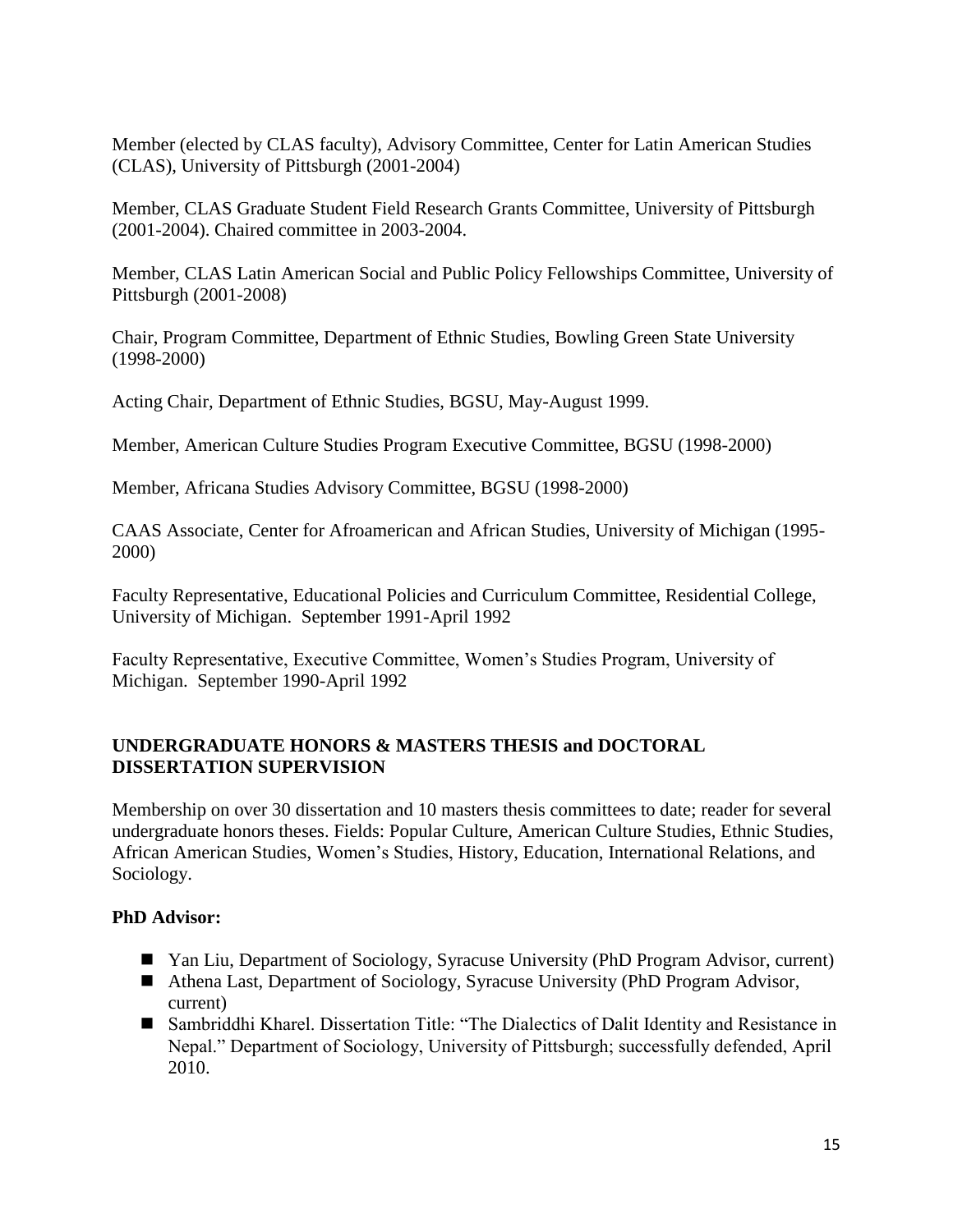Member (elected by CLAS faculty), Advisory Committee, Center for Latin American Studies (CLAS), University of Pittsburgh (2001-2004)

Member, CLAS Graduate Student Field Research Grants Committee, University of Pittsburgh (2001-2004). Chaired committee in 2003-2004.

Member, CLAS Latin American Social and Public Policy Fellowships Committee, University of Pittsburgh (2001-2008)

Chair, Program Committee, Department of Ethnic Studies, Bowling Green State University (1998-2000)

Acting Chair, Department of Ethnic Studies, BGSU, May-August 1999.

Member, American Culture Studies Program Executive Committee, BGSU (1998-2000)

Member, Africana Studies Advisory Committee, BGSU (1998-2000)

CAAS Associate, Center for Afroamerican and African Studies, University of Michigan (1995- 2000)

Faculty Representative, Educational Policies and Curriculum Committee, Residential College, University of Michigan. September 1991-April 1992

Faculty Representative, Executive Committee, Women's Studies Program, University of Michigan. September 1990-April 1992

# **UNDERGRADUATE HONORS & MASTERS THESIS and DOCTORAL DISSERTATION SUPERVISION**

Membership on over 30 dissertation and 10 masters thesis committees to date; reader for several undergraduate honors theses. Fields: Popular Culture, American Culture Studies, Ethnic Studies, African American Studies, Women's Studies, History, Education, International Relations, and Sociology.

# **PhD Advisor:**

- Yan Liu, Department of Sociology, Syracuse University (PhD Program Advisor, current)
- Athena Last, Department of Sociology, Syracuse University (PhD Program Advisor, current)
- Sambriddhi Kharel. Dissertation Title: "The Dialectics of Dalit Identity and Resistance in Nepal." Department of Sociology, University of Pittsburgh; successfully defended, April 2010.